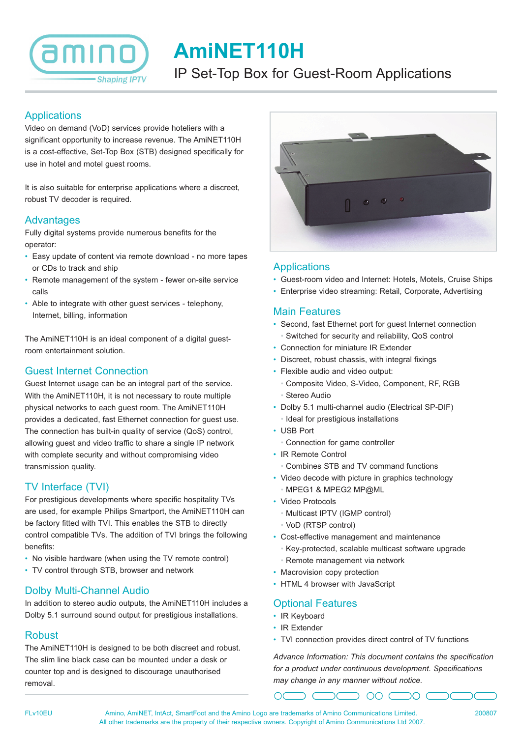

# **AmiNET110H**

# IP Set-Top Box for Guest-Room Applications

# **Applications**

Video on demand (VoD) services provide hoteliers with a significant opportunity to increase revenue. The AmiNET110H is a cost-effective, Set-Top Box (STB) designed specifically for use in hotel and motel guest rooms.

It is also suitable for enterprise applications where a discreet, robust TV decoder is required.

# **Advantages**

Fully digital systems provide numerous benefits for the operator:

- Easy update of content via remote download no more tapes or CDs to track and ship
- Remote management of the system fewer on-site service calls
- Able to integrate with other guest services telephony, Internet, billing, information

The AmiNET110H is an ideal component of a digital guestroom entertainment solution.

# Guest Internet Connection

Guest Internet usage can be an integral part of the service. With the AmiNET110H, it is not necessary to route multiple physical networks to each guest room. The AmiNET110H provides a dedicated, fast Ethernet connection for guest use. The connection has built-in quality of service (QoS) control, allowing guest and video traffic to share a single IP network with complete security and without compromising video transmission quality.

# TV Interface (TVI)

For prestigious developments where specific hospitality TVs are used, for example Philips Smartport, the AmiNET110H can be factory fitted with TVI. This enables the STB to directly control compatible TVs. The addition of TVI brings the following benefits:

- No visible hardware (when using the TV remote control)
- TV control through STB, browser and network

# Dolby Multi-Channel Audio

In addition to stereo audio outputs, the AmiNET110H includes a Dolby 5.1 surround sound output for prestigious installations.

#### Robust

The AmiNET110H is designed to be both discreet and robust. The slim line black case can be mounted under a desk or counter top and is designed to discourage unauthorised removal.



# **Applications**

- Guest-room video and Internet: Hotels, Motels, Cruise Ships
- Enterprise video streaming: Retail, Corporate, Advertising

#### Main Features

- Second, fast Ethernet port for guest Internet connection • Switched for security and reliability, QoS control
- Connection for miniature IR Extender
- Discreet, robust chassis, with integral fixings
- Flexible audio and video output: • Composite Video, S-Video, Component, RF, RGB • Stereo Audio
- Dolby 5.1 multi-channel audio (Electrical SP-DIF) • Ideal for prestigious installations
- USB Port
	- Connection for game controller
- IR Remote Control
	- Combines STB and TV command functions
- Video decode with picture in graphics technology • MPEG1 & MPEG2 MP@ML
- Video Protocols
	- Multicast IPTV (IGMP control)
	- VoD (RTSP control)
- Cost-effective management and maintenance • Key-protected, scalable multicast software upgrade • Remote management via network
- Macrovision copy protection
- HTML 4 browser with JavaScript

# Optional Features

 $\subset$ 

 $\bigcap$ 

- IR Keyboard
- IR Extender
- TVI connection provides direct control of TV functions

*Advance Information: This document contains the specification for a product under continuous development. Specifications may change in any manner without notice.*

70 C

 $\supset$  00  $\subset$ 



FLv10EU Amino, AmiNET, IntAct, SmartFoot and the Amino Logo are trademarks of Amino Communications Limited. All other trademarks are the property of their respective owners. Copyright of Amino Communications Ltd 2007.

 $\bigcirc$